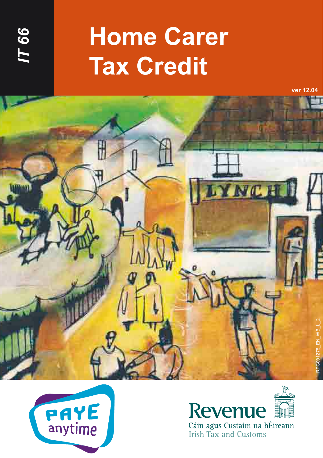

# **Home Carer Tax Credit**

**ver 12.04**







**Irish Tax and Customs**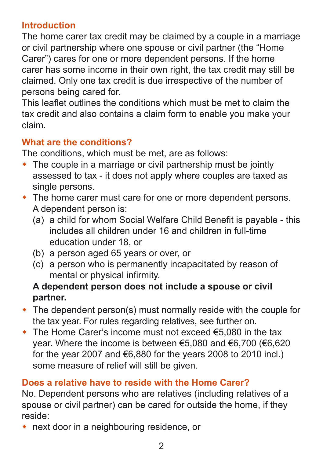# **Introduction**

The home carer tax credit may be claimed by a couple in a marriage or civil partnership where one spouse or civil partner (the "Home Carer") cares for one or more dependent persons. If the home carer has some income in their own right, the tax credit may still be claimed. Only one tax credit is due irrespective of the number of persons being cared for.

This leaflet outlines the conditions which must be met to claim the tax credit and also contains a claim form to enable you make your claim.

# **What are the conditions?**

The conditions, which must be met, are as follows:

- $\bullet$  The couple in a marriage or civil partnership must be jointly assessed to tax - it does not apply where couples are taxed as single persons.
- $\bullet$  The home carer must care for one or more dependent persons. A dependent person is:
	- (a) a child for whom Social Welfare Child Benefit is payable this includes all children under 16 and children in full-time education under 18, or
	- (b) a person aged 65 years or over, or
	- (c) a person who is permanently incapacitated by reason of mental or physical infirmity.

# **A dependent person does not include a spouse or civil partner.**

- $\bullet$  The dependent person(s) must normally reside with the couple for the tax year. For rules regarding relatives, see further on.
- $\bullet$  The Home Carer's income must not exceed  $\epsilon$ 5,080 in the tax year. Where the income is between €5,080 and €6,700 (€6,620 for the year 2007 and  $€6,880$  for the years 2008 to 2010 incl.) some measure of relief will still be given.

# **Does a relative have to reside with the Home Carer?**

No. Dependent persons who are relatives (including relatives of a spouse or civil partner) can be cared for outside the home, if they reside:

 $\bullet$  next door in a neighbouring residence, or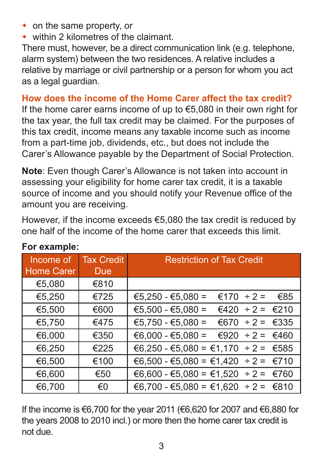- $\bullet$  on the same property, or
- $\bullet$  within 2 kilometres of the claimant.

There must, however, be a direct communication link (e.g. telephone, alarm system) between the two residences. A relative includes a relative by marriage or civil partnership or a person for whom you act as a legal guardian.

#### **How does the income of the Home Carer affect the tax credit?**

If the home carer earns income of up to €5,080 in their own right for the tax year, the full tax credit may be claimed. For the purposes of this tax credit, income means any taxable income such as income from a part-time job, dividends, etc., but does not include the Carer's Allowance payable by the Department of Social Protection.

**Note**: Even though Carer's Allowance is not taken into account in assessing your eligibility for home carer tax credit, it is a taxable source of income and you should notify your Revenue office of the amount you are receiving.

However, if the income exceeds €5,080 the tax credit is reduced by one half of the income of the home carer that exceeds this limit.

| Income of         | <b>Tax Credit</b> | <b>Restriction of Tax Credit</b>         |  |
|-------------------|-------------------|------------------------------------------|--|
| <b>Home Carer</b> | <b>Due</b>        |                                          |  |
| €5,080            | €810              |                                          |  |
| €5,250            | €725              | $€5,250 - €5,080 =$<br>€170 ÷ 2 =<br>€85 |  |
| €5,500            | €600              | $€5,500 - €5,080 =$<br>€420 ÷ 2 = €210   |  |
| €5,750            | €475              | €5,750 - €5,080 = €670 ÷ 2 = €335        |  |
| €6,000            | €350              | €6,000 - €5,080 = €920 ÷ 2 = €460        |  |
| €6,250            | €225              | €6,250 - €5,080 = €1,170 ÷ 2 = €585      |  |
| €6,500            | €100              | €6,500 - €5,080 = €1,420 ÷ 2 = €710      |  |
| €6,600            | €50               | €6,600 - €5,080 = €1,520 ÷ 2 = €760      |  |
| €6,700            | €0                | €6,700 - €5,080 = €1,620 ÷ 2 = €810      |  |

#### **For example:**

If the income is €6,700 for the year 2011 (€6,620 for 2007 and €6,880 for the years 2008 to 2010 incl.) or more then the home carer tax credit is not due.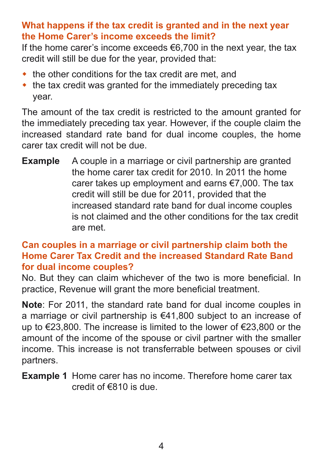# **What happens if the tax credit is granted and in the next year the Home Carer's income exceeds the limit?**

If the home carer's income exceeds €6,700 in the next year, the tax credit will still be due for the year, provided that:

- $\bullet$  the other conditions for the tax credit are met, and
- $\bullet$  the tax credit was granted for the immediately preceding tax year.

The amount of the tax credit is restricted to the amount granted for the immediately preceding tax year. However, if the couple claim the increased standard rate band for dual income couples, the home carer tax credit will not be due.

**Example** A couple in a marriage or civil partnership are granted the home carer tax credit for 2010. In 2011 the home carer takes up employment and earns €7,000. The tax credit will still be due for 2011, provided that the increased standard rate band for dual income couples is not claimed and the other conditions for the tax credit are met.

#### **Can couples in a marriage or civil partnership claim both the Home Carer Tax Credit and the increased Standard Rate Band for dual income couples?**

No. But they can claim whichever of the two is more beneficial. In practice, Revenue will grant the more beneficial treatment.

**Note**: For 2011, the standard rate band for dual income couples in a marriage or civil partnership is €41,800 subject to an increase of up to €23,800. The increase is limited to the lower of €23,800 or the amount of the income of the spouse or civil partner with the smaller income. This increase is not transferrable between spouses or civil partners.

**Example 1** Home carer has no income. Therefore home carer tax credit of €810 is due.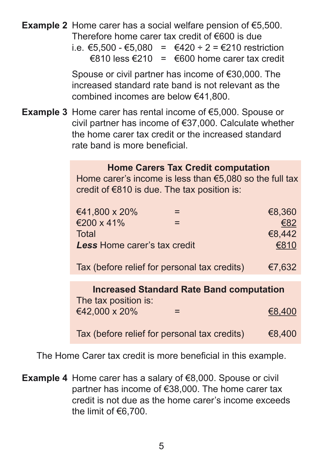#### **Example 2** Home carer has a social welfare pension of €5,500. Therefore home carer tax credit of €600 is due

i.e. €5.500 - €5.080 = €420 ÷ 2 = €210 restriction  $€810$  less  $€210 = €600$  home carer tax credit

 Spouse or civil partner has income of €30,000. The increased standard rate band is not relevant as the combined incomes are below €41,800.

**Example 3** Home carer has rental income of €5,000. Spouse or civil partner has income of €37,000. Calculate whether the home carer tax credit or the increased standard rate band is more beneficial.

|  |  |  | <b>Home Carers Tax Credit computation</b> |
|--|--|--|-------------------------------------------|
|--|--|--|-------------------------------------------|

 Home carer's income is less than €5,080 so the full tax credit of €810 is due. The tax position is:

|                                                 | €41,800 x 20%                                |  | €8,360 |  |
|-------------------------------------------------|----------------------------------------------|--|--------|--|
|                                                 | €200 x 41%                                   |  | €82    |  |
|                                                 | <b>Total</b>                                 |  | €8,442 |  |
|                                                 | <b>Less Home carer's tax credit</b>          |  | €810   |  |
|                                                 | Tax (before relief for personal tax credits) |  | €7,632 |  |
| <b>Increased Standard Rate Band computation</b> |                                              |  |        |  |
|                                                 | The tax position is:                         |  |        |  |
|                                                 | €42,000 x 20%                                |  |        |  |

Tax (before relief for personal tax credits)  $68,400$ 

The Home Carer tax credit is more beneficial in this example.

**Example 4** Home carer has a salary of €8,000. Spouse or civil partner has income of €38,000. The home carer tax credit is not due as the home carer's income exceeds the limit of €6,700.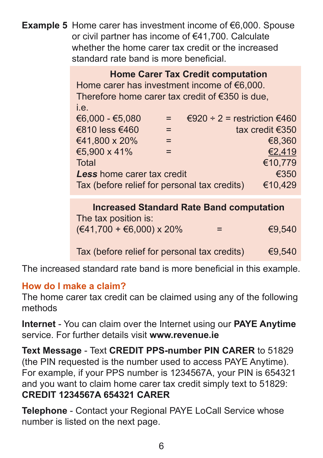**Example 5** Home carer has investment income of €6,000. Spouse or civil partner has income of €41,700. Calculate whether the home carer tax credit or the increased standard rate band is more beneficial.

 **Home Carer Tax Credit computation** Home carer has investment income of €6,000. Therefore home carer tax credit of €350 is due, i.e.  $€6,000 - €5,080 = €920 ÷ 2 = restriction €460$  $\epsilon$ 810 less  $\epsilon$ 460 = tax credit  $\epsilon$ 350  $\epsilon$ 41.800 x 20% =  $\epsilon$ 8.360  $\textcolor{blue}{\epsilon}$ 5,900 x 41% =  $\textcolor{blue}{\epsilon}$  $\blacksquare$ Total  $\blacksquare$   $\blacksquare$   $\blacksquare$   $\blacksquare$   $\blacksquare$   $\blacksquare$   $\blacksquare$   $\blacksquare$   $\blacksquare$   $\blacksquare$   $\blacksquare$   $\blacksquare$   $\blacksquare$   $\blacksquare$   $\blacksquare$   $\blacksquare$   $\blacksquare$   $\blacksquare$   $\blacksquare$   $\blacksquare$   $\blacksquare$   $\blacksquare$   $\blacksquare$   $\blacksquare$   $\blacksquare$   $\blacksquare$   $\blacksquare$   $\blacksquare$   $\blacksquare$   $\blacksquare$ **Less** home carer tax credit **E350**<br>Tax (before relief for personal tax credits) €10.429 Tax (before relief for personal tax credits)

> **Increased Standard Rate Band computation** The tax position is:  $(\text{€41,700} + \text{€6,000}) \times 20\%$  = €9,540

> Tax (before relief for personal tax credits)  $\epsilon$ 9,540

The increased standard rate band is more beneficial in this example.

#### **How do I make a claim?**

The home carer tax credit can be claimed using any of the following methods

**Internet** - You can claim over the Internet using our **PAYE Anytime** service. For further details visit **[www.revenue.ie](http://www.revenue.ie)**

**Text Message** - Text **CREDIT PPS-number PIN CARER** to 51829 (the PIN requested is the number used to access PAYE Anytime). For example, if your PPS number is 1234567A, your PIN is 654321 and you want to claim home carer tax credit simply text to 51829: **CREDIT 1234567A 654321 CARER**

**Telephone** - Contact your Regional PAYE LoCall Service whose number is listed on the next page.